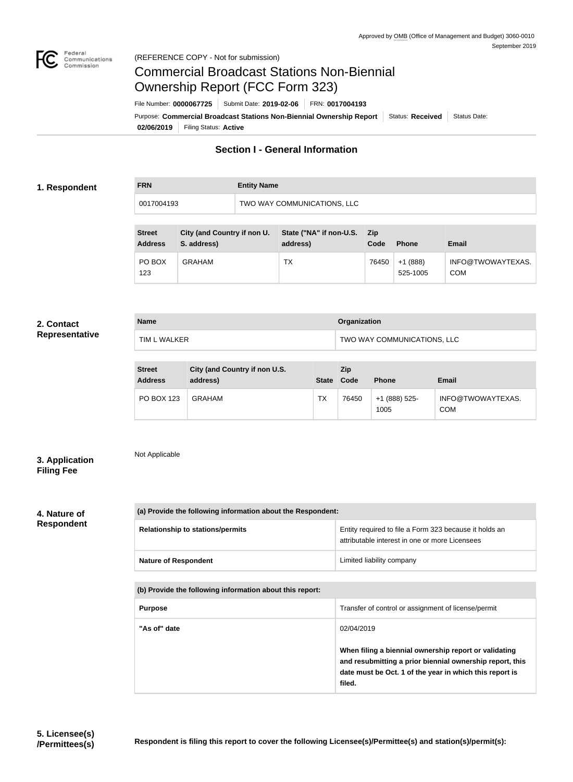

# Commercial Broadcast Stations Non-Biennial Ownership Report (FCC Form 323)

**02/06/2019** Filing Status: **Active** Purpose: Commercial Broadcast Stations Non-Biennial Ownership Report Status: Received Status Date: File Number: **0000067725** Submit Date: **2019-02-06** FRN: **0017004193**

## **Section I - General Information**

### **1. Respondent**

| <b>FRN</b> | <b>Entity Name</b>          |
|------------|-----------------------------|
| 0017004193 | TWO WAY COMMUNICATIONS, LLC |

| <b>Street</b><br><b>Address</b> | City (and Country if non U.<br>S. address) | State ("NA" if non-U.S.<br>address) | <b>Zip</b><br>Code | <b>Phone</b>          | <b>Email</b>                    |
|---------------------------------|--------------------------------------------|-------------------------------------|--------------------|-----------------------|---------------------------------|
| PO BOX<br>123                   | <b>GRAHAM</b>                              | TX                                  | 76450              | $+1(888)$<br>525-1005 | INFO@TWOWAYTEXAS.<br><b>COM</b> |

#### **2. Contact Representative**

| <b>Name</b>  | Organization                |
|--------------|-----------------------------|
| TIM L WALKER | TWO WAY COMMUNICATIONS, LLC |
|              |                             |

| <b>Street</b><br><b>Address</b> | City (and Country if non U.S.<br>address) | <b>State</b> | Zip<br>Code | <b>Phone</b>          | Email                           |
|---------------------------------|-------------------------------------------|--------------|-------------|-----------------------|---------------------------------|
| <b>PO BOX 123</b>               | <b>GRAHAM</b>                             | TX           | 76450       | +1 (888) 525-<br>1005 | INFO@TWOWAYTEXAS.<br><b>COM</b> |

## **3. Application Filing Fee**

Not Applicable

#### **4. Nature of Respondent**

| (a) Provide the following information about the Respondent: |                                                                                                          |  |  |
|-------------------------------------------------------------|----------------------------------------------------------------------------------------------------------|--|--|
| <b>Relationship to stations/permits</b>                     | Entity required to file a Form 323 because it holds an<br>attributable interest in one or more Licensees |  |  |
| <b>Nature of Respondent</b>                                 | Limited liability company                                                                                |  |  |

**(b) Provide the following information about this report:**

| <b>Purpose</b> | Transfer of control or assignment of license/permit                                                                                                                                    |
|----------------|----------------------------------------------------------------------------------------------------------------------------------------------------------------------------------------|
| "As of" date   | 02/04/2019                                                                                                                                                                             |
|                | When filing a biennial ownership report or validating<br>and resubmitting a prior biennial ownership report, this<br>date must be Oct. 1 of the year in which this report is<br>filed. |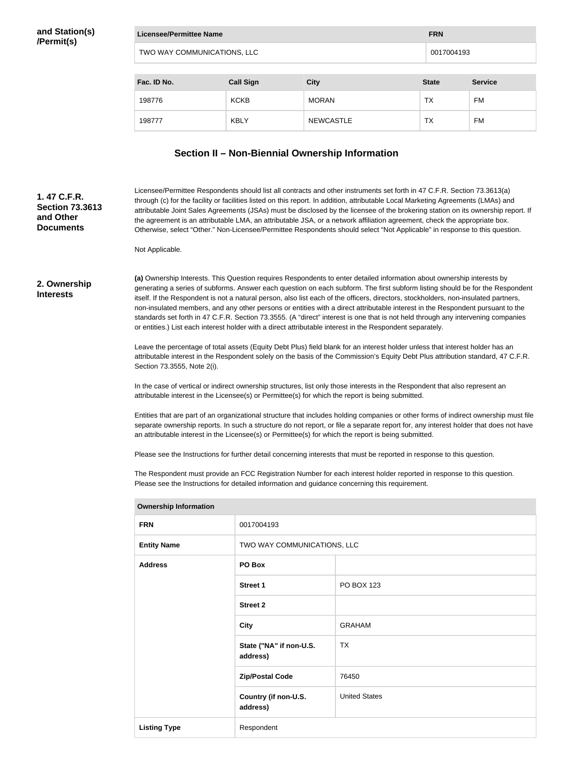| Licensee/Permittee Name<br><b>FRN</b> |                  |              |              |                |
|---------------------------------------|------------------|--------------|--------------|----------------|
| TWO WAY COMMUNICATIONS, LLC           |                  |              |              | 0017004193     |
|                                       |                  |              |              |                |
| Fac. ID No.                           | <b>Call Sign</b> | <b>City</b>  | <b>State</b> | <b>Service</b> |
| 198776                                | <b>KCKB</b>      | <b>MORAN</b> | ТX           | <b>FM</b>      |

198777 KBLY NEWCASTLE TX FM

## **Section II – Non-Biennial Ownership Information**

# **(a)** Ownership Interests. This Question requires Respondents to enter detailed information about ownership interests by generating a series of subforms. Answer each question on each subform. The first subform listing should be for the Respondent itself. If the Respondent is not a natural person, also list each of the officers, directors, stockholders, non-insulated partners, non-insulated members, and any other persons or entities with a direct attributable interest in the Respondent pursuant to the standards set forth in 47 C.F.R. Section 73.3555. (A "direct" interest is one that is not held through any intervening companies or entities.) List each interest holder with a direct attributable interest in the Respondent separately. Leave the percentage of total assets (Equity Debt Plus) field blank for an interest holder unless that interest holder has an attributable interest in the Respondent solely on the basis of the Commission's Equity Debt Plus attribution standard, 47 C.F.R. Section 73.3555, Note 2(i). In the case of vertical or indirect ownership structures, list only those interests in the Respondent that also represent an attributable interest in the Licensee(s) or Permittee(s) for which the report is being submitted. Entities that are part of an organizational structure that includes holding companies or other forms of indirect ownership must file separate ownership reports. In such a structure do not report, or file a separate report for, any interest holder that does not have an attributable interest in the Licensee(s) or Permittee(s) for which the report is being submitted. Please see the Instructions for further detail concerning interests that must be reported in response to this question. The Respondent must provide an FCC Registration Number for each interest holder reported in response to this question. Please see the Instructions for detailed information and guidance concerning this requirement. **Ownership Information FRN** 0017004193 **Entity Name TWO WAY COMMUNICATIONS, LLC Address PO Box Street 1** PO BOX 123 **Street 2 City** GRAHAM **State ("NA" if non-U.S. address)** TX **Zip/Postal Code** 76450 **2. Ownership Interests** Licensee/Permittee Respondents should list all contracts and other instruments set forth in 47 C.F.R. Section 73.3613(a) through (c) for the facility or facilities listed on this report. In addition, attributable Local Marketing Agreements (LMAs) and attributable Joint Sales Agreements (JSAs) must be disclosed by the licensee of the brokering station on its ownership report. If the agreement is an attributable LMA, an attributable JSA, or a network affiliation agreement, check the appropriate box. Otherwise, select "Other." Non-Licensee/Permittee Respondents should select "Not Applicable" in response to this question. Not Applicable. **1. 47 C.F.R. Section 73.3613 and Other Documents**

**Country (if non-U.S.** 

United States

**address)**

**Listing Type** Respondent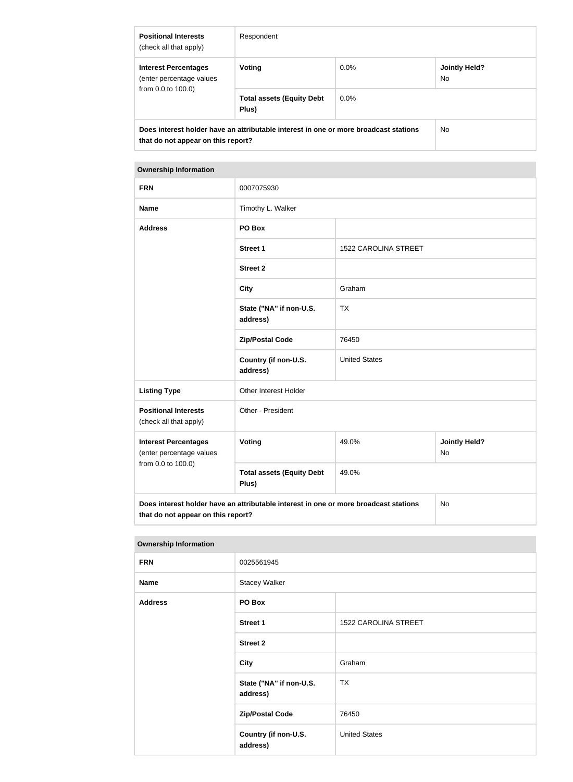| <b>Positional Interests</b><br>(check all that apply)                                                                      | Respondent                                |         |                      |
|----------------------------------------------------------------------------------------------------------------------------|-------------------------------------------|---------|----------------------|
| <b>Interest Percentages</b><br>(enter percentage values                                                                    | Voting                                    | $0.0\%$ | Jointly Held?<br>No. |
| from 0.0 to 100.0)                                                                                                         | <b>Total assets (Equity Debt</b><br>Plus) | $0.0\%$ |                      |
| Does interest holder have an attributable interest in one or more broadcast stations<br>that do not appear on this report? |                                           |         | No.                  |

## **Ownership Information**

| <b>FRN</b>                                                                                                                       | 0007075930                                |                      |                                   |  |
|----------------------------------------------------------------------------------------------------------------------------------|-------------------------------------------|----------------------|-----------------------------------|--|
| <b>Name</b>                                                                                                                      | Timothy L. Walker                         |                      |                                   |  |
| <b>Address</b>                                                                                                                   | PO Box                                    |                      |                                   |  |
|                                                                                                                                  | <b>Street 1</b>                           | 1522 CAROLINA STREET |                                   |  |
|                                                                                                                                  | <b>Street 2</b>                           |                      |                                   |  |
|                                                                                                                                  | <b>City</b>                               | Graham               |                                   |  |
|                                                                                                                                  | State ("NA" if non-U.S.<br>address)       | <b>TX</b>            |                                   |  |
|                                                                                                                                  | <b>Zip/Postal Code</b>                    | 76450                |                                   |  |
|                                                                                                                                  | Country (if non-U.S.<br>address)          | <b>United States</b> |                                   |  |
| <b>Listing Type</b>                                                                                                              | Other Interest Holder                     |                      |                                   |  |
| <b>Positional Interests</b><br>(check all that apply)                                                                            | Other - President                         |                      |                                   |  |
| <b>Interest Percentages</b><br>(enter percentage values                                                                          | Voting                                    | 49.0%                | <b>Jointly Held?</b><br><b>No</b> |  |
| from 0.0 to 100.0)                                                                                                               | <b>Total assets (Equity Debt</b><br>Plus) | 49.0%                |                                   |  |
| Does interest holder have an attributable interest in one or more broadcast stations<br>No<br>that do not appear on this report? |                                           |                      |                                   |  |

#### **Ownership Information**

| <b>FRN</b>     | 0025561945                          |                      |  |
|----------------|-------------------------------------|----------------------|--|
| <b>Name</b>    | <b>Stacey Walker</b>                |                      |  |
| <b>Address</b> | PO Box                              |                      |  |
|                | <b>Street 1</b>                     | 1522 CAROLINA STREET |  |
|                | <b>Street 2</b>                     |                      |  |
|                | <b>City</b>                         | Graham               |  |
|                | State ("NA" if non-U.S.<br>address) | <b>TX</b>            |  |
|                | <b>Zip/Postal Code</b>              | 76450                |  |
|                | Country (if non-U.S.<br>address)    | <b>United States</b> |  |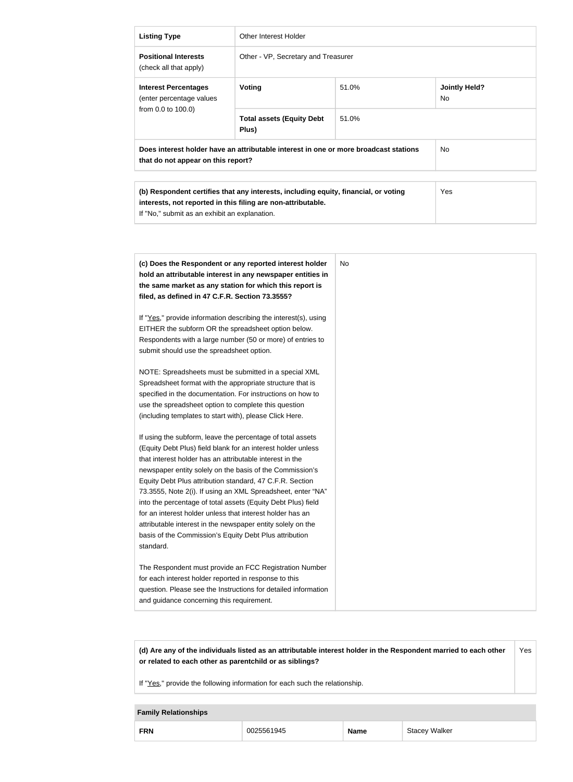| <b>Listing Type</b>                                                                                                                                                                                                                                                                                                     | <b>Other Interest Holder</b>                                                                                                                                                                                                                                                                                                                                                                                                            |       |                                   |
|-------------------------------------------------------------------------------------------------------------------------------------------------------------------------------------------------------------------------------------------------------------------------------------------------------------------------|-----------------------------------------------------------------------------------------------------------------------------------------------------------------------------------------------------------------------------------------------------------------------------------------------------------------------------------------------------------------------------------------------------------------------------------------|-------|-----------------------------------|
| <b>Positional Interests</b><br>(check all that apply)                                                                                                                                                                                                                                                                   | Other - VP, Secretary and Treasurer                                                                                                                                                                                                                                                                                                                                                                                                     |       |                                   |
| <b>Interest Percentages</b><br>(enter percentage values                                                                                                                                                                                                                                                                 | Voting                                                                                                                                                                                                                                                                                                                                                                                                                                  | 51.0% | <b>Jointly Held?</b><br><b>No</b> |
| from 0.0 to 100.0)                                                                                                                                                                                                                                                                                                      | <b>Total assets (Equity Debt</b><br>Plus)                                                                                                                                                                                                                                                                                                                                                                                               | 51.0% |                                   |
| that do not appear on this report?                                                                                                                                                                                                                                                                                      | Does interest holder have an attributable interest in one or more broadcast stations                                                                                                                                                                                                                                                                                                                                                    |       | <b>No</b>                         |
| If "No," submit as an exhibit an explanation.                                                                                                                                                                                                                                                                           | (b) Respondent certifies that any interests, including equity, financial, or voting<br>interests, not reported in this filing are non-attributable.                                                                                                                                                                                                                                                                                     |       | Yes                               |
| filed, as defined in 47 C.F.R. Section 73.3555?<br>EITHER the subform OR the spreadsheet option below.<br>submit should use the spreadsheet option.                                                                                                                                                                     | (c) Does the Respondent or any reported interest holder<br>hold an attributable interest in any newspaper entities in<br>the same market as any station for which this report is<br>If "Yes," provide information describing the interest(s), using<br>Respondents with a large number (50 or more) of entries to<br>NOTE: Spreadsheets must be submitted in a special XML<br>Spreadsheet format with the appropriate structure that is | No.   |                                   |
| use the spreadsheet option to complete this question<br>(including templates to start with), please Click Here.                                                                                                                                                                                                         | specified in the documentation. For instructions on how to                                                                                                                                                                                                                                                                                                                                                                              |       |                                   |
| that interest holder has an attributable interest in the<br>Equity Debt Plus attribution standard, 47 C.F.R. Section<br>for an interest holder unless that interest holder has an<br>attributable interest in the newspaper entity solely on the<br>basis of the Commission's Equity Debt Plus attribution<br>standard. | If using the subform, leave the percentage of total assets<br>(Equity Debt Plus) field blank for an interest holder unless<br>newspaper entity solely on the basis of the Commission's<br>73.3555, Note 2(i). If using an XML Spreadsheet, enter "NA"<br>into the percentage of total assets (Equity Debt Plus) field                                                                                                                   |       |                                   |
| for each interest holder reported in response to this<br>and guidance concerning this requirement.                                                                                                                                                                                                                      | The Respondent must provide an FCC Registration Number<br>question. Please see the Instructions for detailed information                                                                                                                                                                                                                                                                                                                |       |                                   |

**(d) Are any of the individuals listed as an attributable interest holder in the Respondent married to each other or related to each other as parentchild or as siblings?** Yes

If "Yes," provide the following information for each such the relationship.

## **Family Relationships**

| <b>FRN</b><br>Walker<br>0025561945<br>∼mcl∧<br>דור |  |  |  |  |
|----------------------------------------------------|--|--|--|--|
|----------------------------------------------------|--|--|--|--|